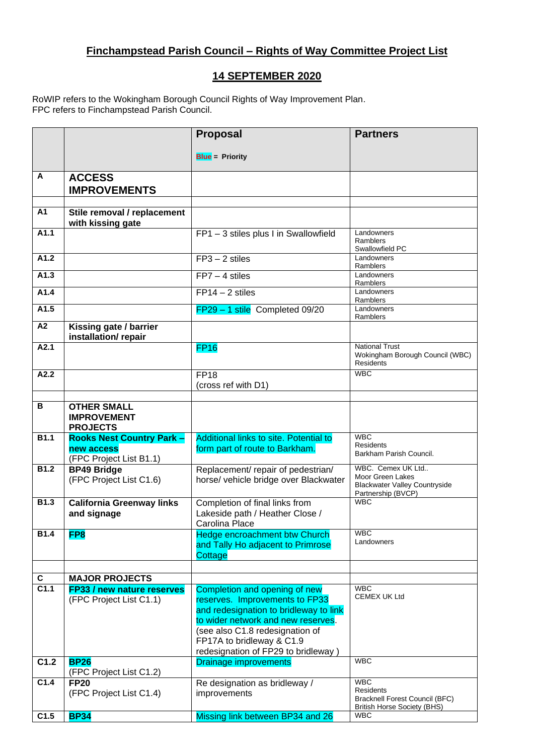## **Finchampstead Parish Council – Rights of Way Committee Project List**

## **14 SEPTEMBER 2020**

RoWIP refers to the Wokingham Borough Council Rights of Way Improvement Plan. FPC refers to Finchampstead Parish Council.

|                   |                                                                           | <b>Proposal</b>                                                                                                                                                                                                                                       | <b>Partners</b>                                                                                               |
|-------------------|---------------------------------------------------------------------------|-------------------------------------------------------------------------------------------------------------------------------------------------------------------------------------------------------------------------------------------------------|---------------------------------------------------------------------------------------------------------------|
|                   |                                                                           | $Blue = Priority$                                                                                                                                                                                                                                     |                                                                                                               |
| A                 | <b>ACCESS</b><br><b>IMPROVEMENTS</b>                                      |                                                                                                                                                                                                                                                       |                                                                                                               |
| A <sub>1</sub>    | Stile removal / replacement<br>with kissing gate                          |                                                                                                                                                                                                                                                       |                                                                                                               |
| A1.1              |                                                                           | FP1-3 stiles plus I in Swallowfield                                                                                                                                                                                                                   | Landowners<br>Ramblers<br>Swallowfield PC                                                                     |
| A1.2              |                                                                           | $FP3 - 2$ stiles                                                                                                                                                                                                                                      | Landowners<br>Ramblers                                                                                        |
| A1.3              |                                                                           | $FP7 - 4$ stiles                                                                                                                                                                                                                                      | Landowners<br>Ramblers                                                                                        |
| A1.4              |                                                                           | $FP14 - 2$ stiles                                                                                                                                                                                                                                     | Landowners<br>Ramblers                                                                                        |
| A1.5              |                                                                           | FP29 - 1 stile Completed 09/20                                                                                                                                                                                                                        | Landowners<br>Ramblers                                                                                        |
| A2                | Kissing gate / barrier<br>installation/repair                             |                                                                                                                                                                                                                                                       |                                                                                                               |
| A2.1              |                                                                           | <b>FP16</b>                                                                                                                                                                                                                                           | <b>National Trust</b><br>Wokingham Borough Council (WBC)<br><b>Residents</b>                                  |
| A2.2              |                                                                           | <b>FP18</b><br>(cross ref with D1)                                                                                                                                                                                                                    | <b>WBC</b>                                                                                                    |
| в                 | <b>OTHER SMALL</b><br><b>IMPROVEMENT</b><br><b>PROJECTS</b>               |                                                                                                                                                                                                                                                       |                                                                                                               |
| <b>B1.1</b>       | <b>Rooks Nest Country Park -</b><br>new access<br>(FPC Project List B1.1) | Additional links to site. Potential to<br>form part of route to Barkham.                                                                                                                                                                              | <b>WBC</b><br><b>Residents</b><br>Barkham Parish Council.                                                     |
| B1.2              | <b>BP49 Bridge</b><br>(FPC Project List C1.6)                             | Replacement/repair of pedestrian/<br>horse/ vehicle bridge over Blackwater                                                                                                                                                                            | WBC. Cemex UK Ltd<br>Moor Green Lakes<br><b>Blackwater Valley Countryside</b><br>Partnership (BVCP)           |
| <b>B1.3</b>       | <b>California Greenway links</b><br>and signage                           | Completion of final links from<br>Lakeside path / Heather Close /<br>Carolina Place                                                                                                                                                                   | <b>WBC</b>                                                                                                    |
| <b>B1.4</b>       | FP <sub>8</sub>                                                           | Hedge encroachment btw Church<br>and Tally Ho adjacent to Primrose<br>Cottage                                                                                                                                                                         | <b>WBC</b><br>Landowners                                                                                      |
| C                 | <b>MAJOR PROJECTS</b>                                                     |                                                                                                                                                                                                                                                       |                                                                                                               |
| $\overline{C1.1}$ | <b>FP33 / new nature reserves</b><br>(FPC Project List C1.1)              | Completion and opening of new<br>reserves. Improvements to FP33<br>and redesignation to bridleway to link<br>to wider network and new reserves.<br>(see also C1.8 redesignation of<br>FP17A to bridleway & C1.9<br>redesignation of FP29 to bridleway | <b>WBC</b><br><b>CEMEX UK Ltd</b>                                                                             |
| C1.2              | <b>BP26</b><br>(FPC Project List C1.2)                                    | <b>Drainage improvements</b>                                                                                                                                                                                                                          | <b>WBC</b>                                                                                                    |
| C1.4              | <b>FP20</b><br>(FPC Project List C1.4)                                    | Re designation as bridleway /<br>improvements                                                                                                                                                                                                         | <b>WBC</b><br><b>Residents</b><br><b>Bracknell Forest Council (BFC)</b><br><b>British Horse Society (BHS)</b> |
| C1.5              | <b>BP34</b>                                                               | Missing link between BP34 and 26                                                                                                                                                                                                                      | <b>WBC</b>                                                                                                    |